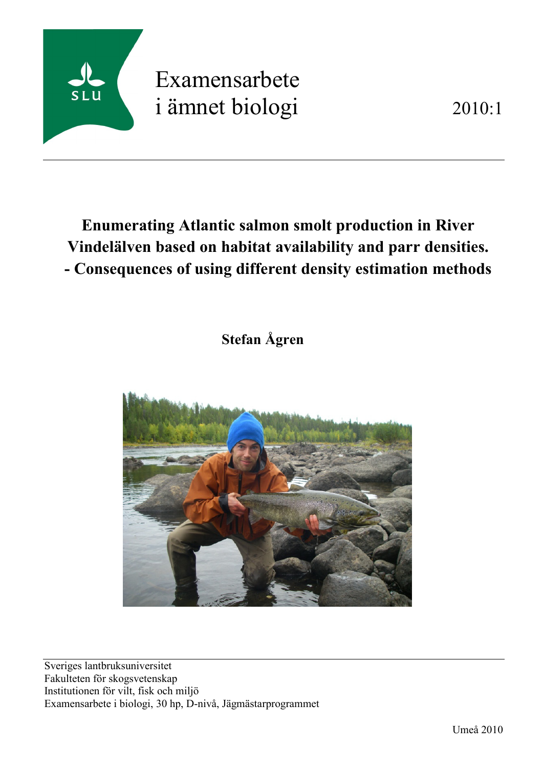

# Examensarbete i ämnet biologi 2010:1

# **Enumerating Atlantic salmon smolt production in River Vindelälven based on habitat availability and parr densities. - Consequences of using different density estimation methods**

 **Stefan Ågren**



Sveriges lantbruksuniversitet Fakulteten för skogsvetenskap Institutionen för vilt, fisk och miljö Examensarbete i biologi, 30 hp, D-nivå, Jägmästarprogrammet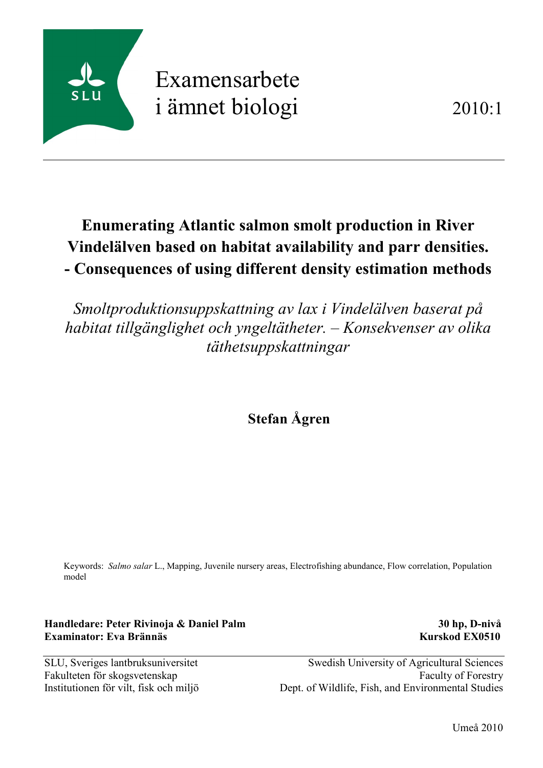

# Examensarbete i ämnet biologi 2010:1

# **Enumerating Atlantic salmon smolt production in River Vindelälven based on habitat availability and parr densities. - Consequences of using different density estimation methods**

*Smoltproduktionsuppskattning av lax i Vindelälven baserat på habitat tillgänglighet och yngeltätheter. – Konsekvenser av olika täthetsuppskattningar*

 **Stefan Ågren**

Keywords: *Salmo salar* L., Mapping, Juvenile nursery areas, Electrofishing abundance, Flow correlation, Population model

**Handledare: Peter Rivinoja & Daniel Palm 30 hp, D-nivå Examinator: Eva Brännäs Kurskod EX0510**

SLU, Sveriges lantbruksuniversitet Swedish University of Agricultural Sciences Fakulteten för skogsvetenskap Faculty of Forestry Institutionen för vilt, fisk och miljö Dept. of Wildlife, Fish, and Environmental Studies

Umeå 2010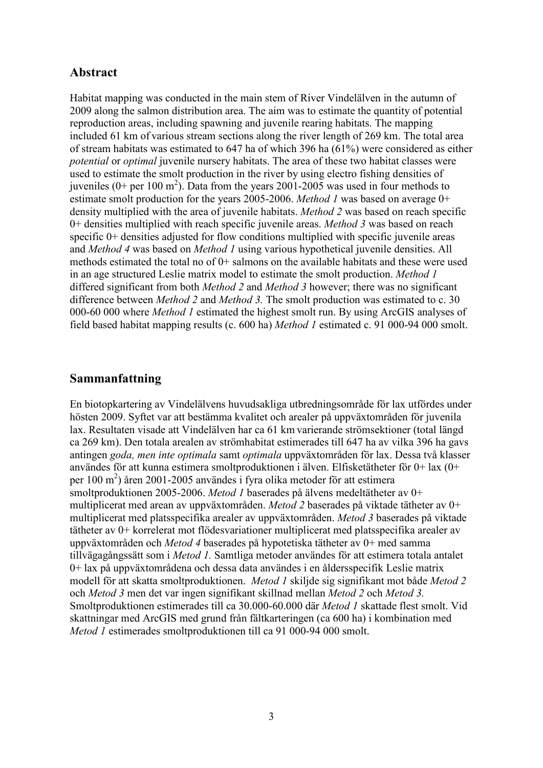# **Abstract**

Habitat mapping was conducted in the main stem of River Vindelälven in the autumn of 2009 along the salmon distribution area. The aim was to estimate the quantity of potential reproduction areas, including spawning and juvenile rearing habitats. The mapping included 61 km of various stream sections along the river length of 269 km. The total area of stream habitats was estimated to 647 ha of which 396 ha (61%) were considered as either *potential* or *optimal* juvenile nursery habitats. The area of these two habitat classes were used to estimate the smolt production in the river by using electro fishing densities of juveniles (0+ per 100 m<sup>2</sup>). Data from the years 2001-2005 was used in four methods to estimate smolt production for the years 2005-2006. *Method 1* was based on average 0+ density multiplied with the area of juvenile habitats. *Method 2* was based on reach specific 0+ densities multiplied with reach specific juvenile areas. *Method 3* was based on reach specific 0+ densities adjusted for flow conditions multiplied with specific juvenile areas and *Method 4* was based on *Method 1* using various hypothetical juvenile densities. All methods estimated the total no of 0+ salmons on the available habitats and these were used in an age structured Leslie matrix model to estimate the smolt production. *Method 1* differed significant from both *Method 2* and *Method 3* however; there was no significant difference between *Method 2* and *Method 3.* The smolt production was estimated to c. 30 000-60 000 where *Method 1* estimated the highest smolt run. By using ArcGIS analyses of field based habitat mapping results (c. 600 ha) *Method 1* estimated c. 91 000-94 000 smolt.

# **Sammanfattning**

En biotopkartering av Vindelälvens huvudsakliga utbredningsområde för lax utfördes under hösten 2009. Syftet var att bestämma kvalitet och arealer på uppväxtområden för juvenila lax. Resultaten visade att Vindelälven har ca 61 km varierande strömsektioner (total längd ca 269 km). Den totala arealen av strömhabitat estimerades till 647 ha av vilka 396 ha gavs antingen *goda, men inte optimala* samt *optimala* uppväxtområden för lax. Dessa två klasser användes för att kunna estimera smoltproduktionen i älven. Elfisketätheter för 0+ lax (0+ per 100 m 2 ) åren 2001-2005 användes i fyra olika metoder för att estimera smoltproduktionen 2005-2006. *Metod 1* baserades på älvens medeltätheter av 0+ multiplicerat med arean av uppväxtområden. *Metod 2* baserades på viktade tätheter av 0+ multiplicerat med platsspecifika arealer av uppväxtområden. *Metod 3* baserades på viktade tätheter av 0+ korrelerat mot flödesvariationer multiplicerat med platsspecifika arealer av uppväxtområden och *Metod 4* baserades på hypotetiska tätheter av 0+ med samma tillvägagångssätt som i *Metod 1.* Samtliga metoder användes för att estimera totala antalet 0+ lax på uppväxtområdena och dessa data användes i en åldersspecifik Leslie matrix modell för att skatta smoltproduktionen. *Metod 1* skiljde sig signifikant mot både *Metod 2* och *Metod 3* men det var ingen signifikant skillnad mellan *Metod 2* och *Metod 3.* Smoltproduktionen estimerades till ca 30.000-60.000 där *Metod 1* skattade flest smolt. Vid skattningar med ArcGIS med grund från fältkarteringen (ca 600 ha) i kombination med *Metod 1* estimerades smoltproduktionen till ca 91 000-94 000 smolt.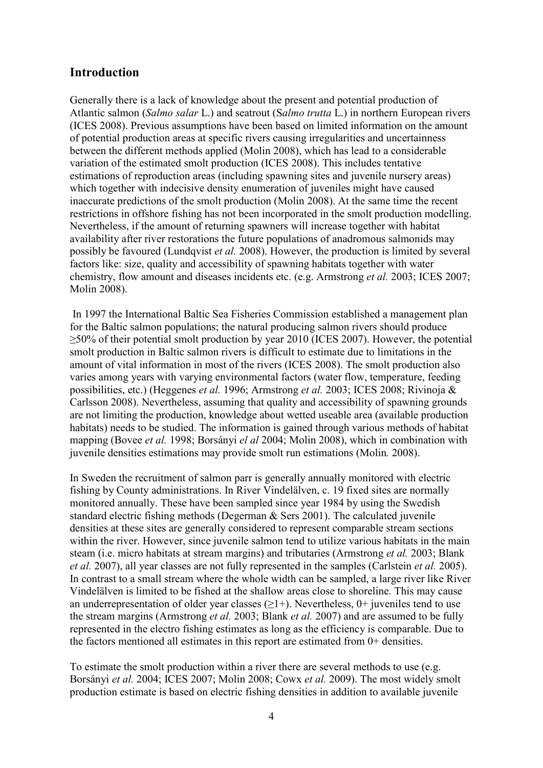# **Introduction**

Generally there is a lack of knowledge about the present and potential production of Atlantic salmon (*Salmo salar* L.) and seatrout (S*almo trutta* L.) in northern European rivers (ICES 2008). Previous assumptions have been based on limited information on the amount of potential production areas at specific rivers causing irregularities and uncertainness between the different methods applied (Molin 2008), which has lead to a considerable variation of the estimated smolt production (ICES 2008). This includes tentative estimations of reproduction areas (including spawning sites and juvenile nursery areas) which together with indecisive density enumeration of juveniles might have caused inaccurate predictions of the smolt production (Molin 2008). At the same time the recent restrictions in offshore fishing has not been incorporated in the smolt production modelling. Nevertheless, if the amount of returning spawners will increase together with habitat availability after river restorations the future populations of anadromous salmonids may possibly be favoured (Lundqvist *et al.* 2008). However, the production is limited by several factors like: size, quality and accessibility of spawning habitats together with water chemistry, flow amount and diseases incidents etc. (e.g. Armstrong *et al.* 2003; ICES 2007; Molin 2008).

In 1997 the International Baltic Sea Fisheries Commission established a management plan for the Baltic salmon populations; the natural producing salmon rivers should produce ≥50% of their potential smolt production by year 2010 (ICES 2007). However, the potential smolt production in Baltic salmon rivers is difficult to estimate due to limitations in the amount of vital information in most of the rivers (ICES 2008). The smolt production also varies among years with varying environmental factors (water flow, temperature, feeding possibilities, etc.) (Heggenes *et al.* 1996; Armstrong *et al.* 2003; ICES 2008; Rivinoja & Carlsson 2008). Nevertheless, assuming that quality and accessibility of spawning grounds are not limiting the production, knowledge about wetted useable area (available production habitats) needs to be studied. The information is gained through various methods of habitat mapping (Bovee *et al.* 1998; Borsányi *el al* 2004; Molin 2008), which in combination with juvenile densities estimations may provide smolt run estimations (Molin*.* 2008).

In Sweden the recruitment of salmon parr is generally annually monitored with electric fishing by County administrations. In River Vindelälven, c. 19 fixed sites are normally monitored annually. These have been sampled since year 1984 by using the Swedish standard electric fishing methods (Degerman & Sers 2001). The calculated juvenile densities at these sites are generally considered to represent comparable stream sections within the river. However, since juvenile salmon tend to utilize various habitats in the main steam (i.e. micro habitats at stream margins) and tributaries (Armstrong *et al.* 2003; Blank *et al.* 2007), all year classes are not fully represented in the samples (Carlstein *et al.* 2005). In contrast to a small stream where the whole width can be sampled, a large river like River Vindelälven is limited to be fished at the shallow areas close to shoreline. This may cause an underrepresentation of older year classes  $(\geq 1+)$ . Nevertheless, 0+ juveniles tend to use the stream margins (Armstrong *et al.* 2003; Blank *et al.* 2007) and are assumed to be fully represented in the electro fishing estimates as long as the efficiency is comparable. Due to the factors mentioned all estimates in this report are estimated from 0+ densities.

To estimate the smolt production within a river there are several methods to use (e.g. Borsányi *et al.* 2004; ICES 2007; Molin 2008; Cowx *et al.* 2009). The most widely smolt production estimate is based on electric fishing densities in addition to available juvenile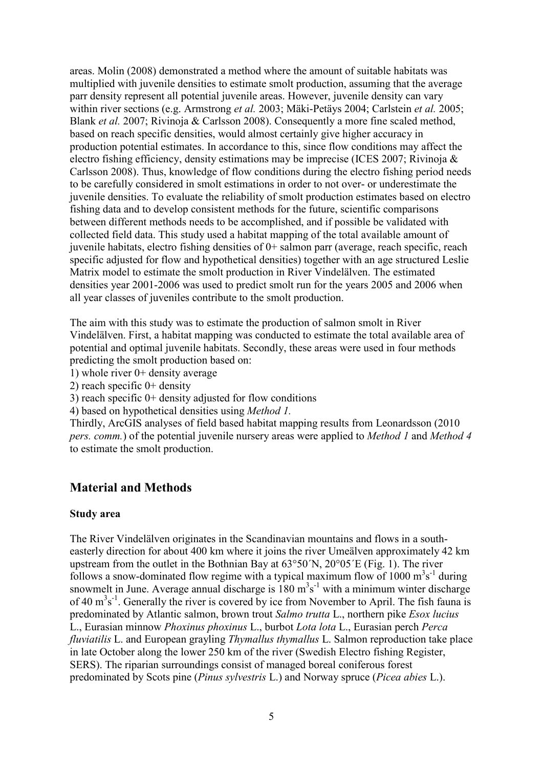areas. Molin (2008) demonstrated a method where the amount of suitable habitats was multiplied with juvenile densities to estimate smolt production, assuming that the average parr density represent all potential juvenile areas. However, juvenile density can vary within river sections (e.g. Armstrong *et al.* 2003; Mäki-Petäys 2004; Carlstein *et al.* 2005; Blank *et al.* 2007; Rivinoja & Carlsson 2008). Consequently a more fine scaled method, based on reach specific densities, would almost certainly give higher accuracy in production potential estimates. In accordance to this, since flow conditions may affect the electro fishing efficiency, density estimations may be imprecise (ICES 2007; Rivinoja & Carlsson 2008). Thus, knowledge of flow conditions during the electro fishing period needs to be carefully considered in smolt estimations in order to not over- or underestimate the juvenile densities. To evaluate the reliability of smolt production estimates based on electro fishing data and to develop consistent methods for the future, scientific comparisons between different methods needs to be accomplished, and if possible be validated with collected field data. This study used a habitat mapping of the total available amount of juvenile habitats, electro fishing densities of 0+ salmon parr (average, reach specific, reach specific adjusted for flow and hypothetical densities) together with an age structured Leslie Matrix model to estimate the smolt production in River Vindelälven. The estimated densities year 2001-2006 was used to predict smolt run for the years 2005 and 2006 when all year classes of juveniles contribute to the smolt production.

The aim with this study was to estimate the production of salmon smolt in River Vindelälven. First, a habitat mapping was conducted to estimate the total available area of potential and optimal juvenile habitats. Secondly, these areas were used in four methods predicting the smolt production based on:

1) whole river 0+ density average

2) reach specific 0+ density

3) reach specific 0+ density adjusted for flow conditions

4) based on hypothetical densities using *Method 1.*

Thirdly, ArcGIS analyses of field based habitat mapping results from Leonardsson (2010 *pers. comm.*) of the potential juvenile nursery areas were applied to *Method 1* and *Method 4* to estimate the smolt production.

## **Material and Methods**

#### **Study area**

The River Vindelälven originates in the Scandinavian mountains and flows in a southeasterly direction for about 400 km where it joins the river Umeälven approximately 42 km upstream from the outlet in the Bothnian Bay at 63°50´N, 20°05´E (Fig. 1). The river follows a snow-dominated flow regime with a typical maximum flow of 1000  $\text{m}^3\text{s}^{-1}$  during snowmelt in June. Average annual discharge is  $180 \text{ m}^3\text{s}^{-1}$  with a minimum winter discharge of 40  $\text{m}^3\text{s}^{-1}$ . Generally the river is covered by ice from November to April. The fish fauna is predominated by Atlantic salmon, brown trout *Salmo trutta* L., northern pike *Esox lucius* L., Eurasian minnow *Phoxinus phoxinus* L., burbot *Lota lota* L., Eurasian perch *Perca fluviatilis* L. and European grayling *Thymallus thymallus* L. Salmon reproduction take place in late October along the lower 250 km of the river (Swedish Electro fishing Register, SERS). The riparian surroundings consist of managed boreal coniferous forest predominated by Scots pine (*Pinus sylvestris* L.) and Norway spruce (*Picea abies* L.).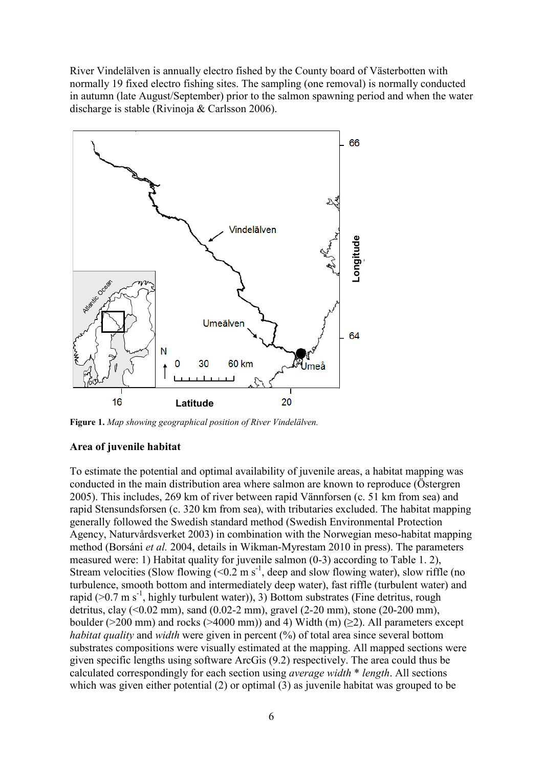River Vindelälven is annually electro fished by the County board of Västerbotten with normally 19 fixed electro fishing sites. The sampling (one removal) is normally conducted in autumn (late August/September) prior to the salmon spawning period and when the water discharge is stable (Rivinoja & Carlsson 2006).



**Figure 1.** *Map showing geographical position of River Vindelälven.*

#### **Area of juvenile habitat**

To estimate the potential and optimal availability of juvenile areas, a habitat mapping was conducted in the main distribution area where salmon are known to reproduce (Östergren 2005). This includes, 269 km of river between rapid Vännforsen (c. 51 km from sea) and rapid Stensundsforsen (c. 320 km from sea), with tributaries excluded. The habitat mapping generally followed the Swedish standard method (Swedish Environmental Protection Agency, Naturvårdsverket 2003) in combination with the Norwegian meso-habitat mapping method (Borsáni *et al.* 2004, details in Wikman-Myrestam 2010 in press). The parameters measured were: 1) Habitat quality for juvenile salmon (0-3) according to Table 1. 2), Stream velocities (Slow flowing  $(< 0.2 \text{ m s}^{-1})$ , deep and slow flowing water), slow riffle (no turbulence, smooth bottom and intermediately deep water), fast riffle (turbulent water) and rapid ( $>0.7$  m s<sup>-1</sup>, highly turbulent water)), 3) Bottom substrates (Fine detritus, rough detritus, clay (<0.02 mm), sand (0.02-2 mm), gravel (2-20 mm), stone (20-200 mm), boulder ( $>200$  mm) and rocks ( $>4000$  mm)) and 4) Width (m) ( $\geq$ 2). All parameters except *habitat quality* and *width* were given in percent (%) of total area since several bottom substrates compositions were visually estimated at the mapping. All mapped sections were given specific lengths using software ArcGis (9.2) respectively. The area could thus be calculated correspondingly for each section using *average width* \* *length*. All sections which was given either potential (2) or optimal (3) as juvenile habitat was grouped to be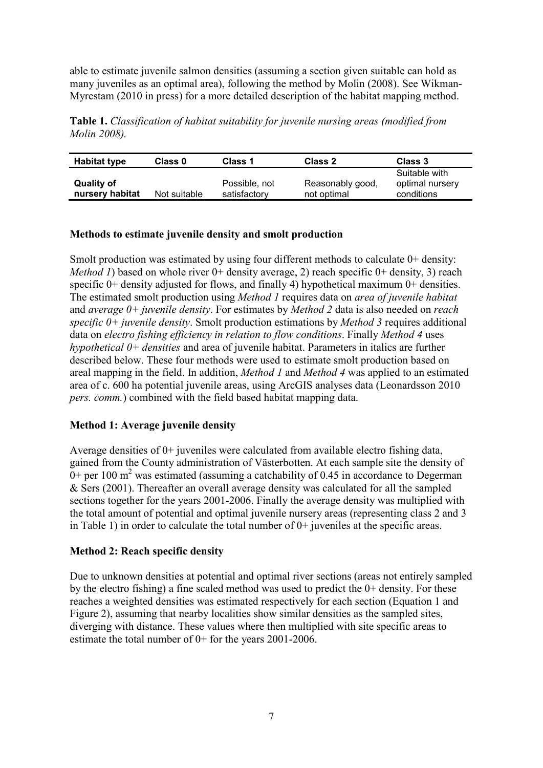able to estimate juvenile salmon densities (assuming a section given suitable can hold as many juveniles as an optimal area), following the method by Molin (2008). See Wikman-Myrestam (2010 in press) for a more detailed description of the habitat mapping method.

**Table 1.** *Classification of habitat suitability for juvenile nursing areas (modified from Molin 2008).*

| <b>Habitat type</b>                  | Class 0      | Class 1                       | Class 2                         | Class 3                                        |
|--------------------------------------|--------------|-------------------------------|---------------------------------|------------------------------------------------|
| <b>Quality of</b><br>nursery habitat | Not suitable | Possible, not<br>satisfactory | Reasonably good,<br>not optimal | Suitable with<br>optimal nursery<br>conditions |

#### **Methods to estimate juvenile density and smolt production**

Smolt production was estimated by using four different methods to calculate  $0+$  density: *Method 1*) based on whole river 0+ density average, 2) reach specific 0+ density, 3) reach specific 0+ density adjusted for flows, and finally 4) hypothetical maximum 0+ densities. The estimated smolt production using *Method 1* requires data on *area of juvenile habitat* and *average 0+ juvenile density*. For estimates by *Method 2* data is also needed on *reach specific 0+ juvenile density*. Smolt production estimations by *Method 3* requires additional data on *electro fishing efficiency in relation to flow conditions*. Finally *Method 4* uses *hypothetical 0+ densities* and area of juvenile habitat. Parameters in italics are further described below. These four methods were used to estimate smolt production based on areal mapping in the field. In addition, *Method 1* and *Method 4* was applied to an estimated area of c. 600 ha potential juvenile areas, using ArcGIS analyses data (Leonardsson 2010 *pers. comm.*) combined with the field based habitat mapping data.

#### **Method 1: Average juvenile density**

Average densities of 0+ juveniles were calculated from available electro fishing data, gained from the County administration of Västerbotten. At each sample site the density of  $0+$  per 100 m<sup>2</sup> was estimated (assuming a catchability of 0.45 in accordance to Degerman & Sers (2001). Thereafter an overall average density was calculated for all the sampled sections together for the years 2001-2006. Finally the average density was multiplied with the total amount of potential and optimal juvenile nursery areas (representing class 2 and 3 in Table 1) in order to calculate the total number of 0+ juveniles at the specific areas.

#### **Method 2: Reach specific density**

Due to unknown densities at potential and optimal river sections (areas not entirely sampled by the electro fishing) a fine scaled method was used to predict the 0+ density. For these reaches a weighted densities was estimated respectively for each section (Equation 1 and Figure 2), assuming that nearby localities show similar densities as the sampled sites, diverging with distance. These values where then multiplied with site specific areas to estimate the total number of 0+ for the years 2001-2006.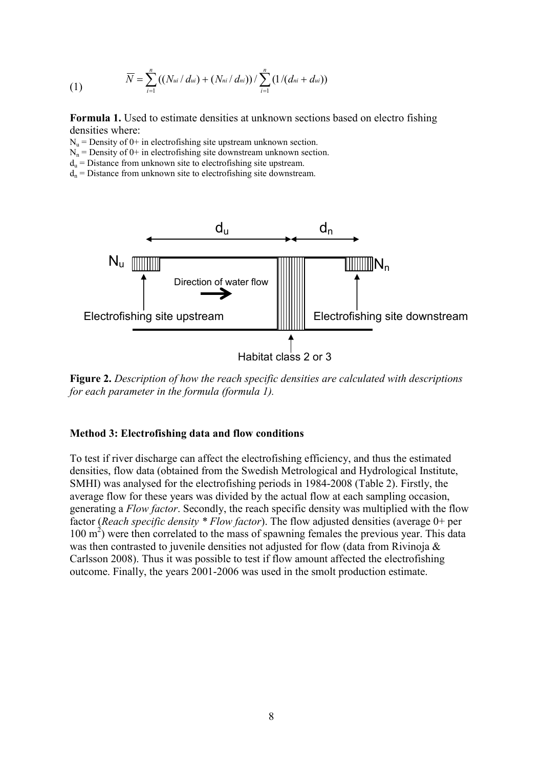(1) 
$$
\overline{N} = \sum_{i=1}^{n} ((N_{ui} / d_{ui}) + (N_{ni} / d_{ni})) / \sum_{i=1}^{n} (1 / (d_{ni} + d_{ui}))
$$

**Formula 1.** Used to estimate densities at unknown sections based on electro fishing densities where:

 $N_u$  = Density of 0+ in electrofishing site upstream unknown section.

 $N_n$  = Density of 0+ in electrofishing site downstream unknown section.

 $d_u$  = Distance from unknown site to electrofishing site upstream.

 $d_n$  = Distance from unknown site to electrofishing site downstream.



**Figure 2.** *Description of how the reach specific densities are calculated with descriptions for each parameter in the formula (formula 1).*

#### **Method 3: Electrofishing data and flow conditions**

To test if river discharge can affect the electrofishing efficiency, and thus the estimated densities, flow data (obtained from the Swedish Metrological and Hydrological Institute, SMHI) was analysed for the electrofishing periods in 1984-2008 (Table 2). Firstly, the average flow for these years was divided by the actual flow at each sampling occasion, generating a *Flow factor*. Secondly, the reach specific density was multiplied with the flow factor (*Reach specific density \* Flow factor*). The flow adjusted densities (average 0+ per 100 m<sup>2</sup>) were then correlated to the mass of spawning females the previous year. This data was then contrasted to juvenile densities not adjusted for flow (data from Rivinoja & Carlsson 2008). Thus it was possible to test if flow amount affected the electrofishing outcome. Finally, the years 2001-2006 was used in the smolt production estimate.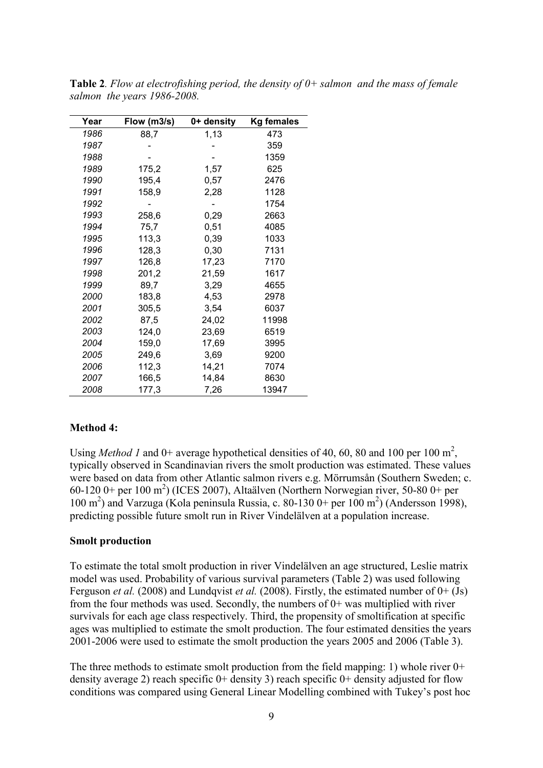| Year | Flow (m3/s) | 0+ density | <b>Kg females</b> |
|------|-------------|------------|-------------------|
| 1986 | 88,7        | 1,13       | 473               |
| 1987 |             |            | 359               |
| 1988 |             |            | 1359              |
| 1989 | 175,2       | 1,57       | 625               |
| 1990 | 195,4       | 0,57       | 2476              |
| 1991 | 158,9       | 2,28       | 1128              |
| 1992 |             |            | 1754              |
| 1993 | 258,6       | 0,29       | 2663              |
| 1994 | 75,7        | 0,51       | 4085              |
| 1995 | 113,3       | 0,39       | 1033              |
| 1996 | 128,3       | 0,30       | 7131              |
| 1997 | 126,8       | 17,23      | 7170              |
| 1998 | 201,2       | 21,59      | 1617              |
| 1999 | 89,7        | 3,29       | 4655              |
| 2000 | 183,8       | 4,53       | 2978              |
| 2001 | 305,5       | 3,54       | 6037              |
| 2002 | 87,5        | 24,02      | 11998             |
| 2003 | 124,0       | 23,69      | 6519              |
| 2004 | 159,0       | 17,69      | 3995              |
| 2005 | 249,6       | 3,69       | 9200              |
| 2006 | 112,3       | 14,21      | 7074              |
| 2007 | 166,5       | 14,84      | 8630              |
| 2008 | 177,3       | 7,26       | 13947             |

**Table 2***. Flow at electrofishing period, the density of 0+ salmon and the mass of female salmon the years 1986-2008.*

#### **Method 4:**

Using *Method 1* and  $0+$  average hypothetical densities of 40, 60, 80 and 100 per 100  $m^2$ , typically observed in Scandinavian rivers the smolt production was estimated. These values were based on data from other Atlantic salmon rivers e.g. Mörrumsån (Southern Sweden; c.  $60-120$  0+ per  $100 \text{ m}^2$ ) (ICES 2007), Altaälven (Northern Norwegian river, 50-80 0+ per 100 m 2 ) and Varzuga (Kola peninsula Russia, c. 80-130 0+ per 100 m 2 ) (Andersson 1998), predicting possible future smolt run in River Vindelälven at a population increase.

#### **Smolt production**

To estimate the total smolt production in river Vindelälven an age structured, Leslie matrix model was used. Probability of various survival parameters (Table 2) was used following Ferguson *et al.* (2008) and Lundqvist *et al.* (2008). Firstly, the estimated number of 0+ (Js) from the four methods was used. Secondly, the numbers of 0+ was multiplied with river survivals for each age class respectively. Third, the propensity of smoltification at specific ages was multiplied to estimate the smolt production. The four estimated densities the years 2001-2006 were used to estimate the smolt production the years 2005 and 2006 (Table 3).

The three methods to estimate smolt production from the field mapping: 1) whole river  $0+$ density average 2) reach specific  $0+$  density 3) reach specific  $0+$  density adjusted for flow conditions was compared using General Linear Modelling combined with Tukey's post hoc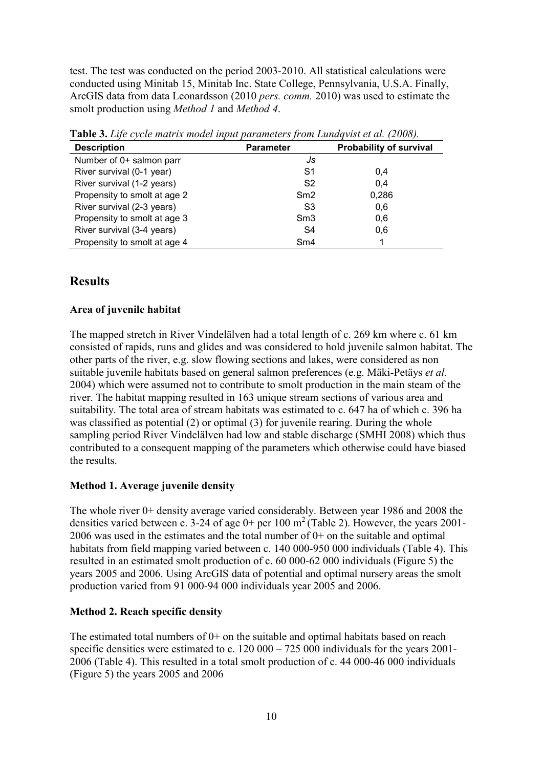test. The test was conducted on the period 2003-2010. All statistical calculations were conducted using Minitab 15, Minitab Inc. State College, Pennsylvania, U.S.A. Finally, ArcGIS data from data Leonardsson (2010 *pers. comm.* 2010) was used to estimate the smolt production using *Method 1* and *Method 4*.

| <b>Description</b>           | <b>Parameter</b> | Probability of survival |
|------------------------------|------------------|-------------------------|
| Number of 0+ salmon parr     | Js               |                         |
| River survival (0-1 year)    | S1               | 0.4                     |
| River survival (1-2 years)   | S <sub>2</sub>   | 0.4                     |
| Propensity to smolt at age 2 | Sm2              | 0,286                   |
| River survival (2-3 years)   | S3               | 0.6                     |
| Propensity to smolt at age 3 | Sm3              | 0,6                     |
| River survival (3-4 years)   | S4               | 0,6                     |
| Propensity to smolt at age 4 | Sm4              |                         |

**Table 3.** *Life cycle matrix model input parameters from Lundqvist et al. (2008).*

# **Results**

### **Area of juvenile habitat**

The mapped stretch in River Vindelälven had a total length of c. 269 km where c. 61 km consisted of rapids, runs and glides and was considered to hold juvenile salmon habitat. The other parts of the river, e.g. slow flowing sections and lakes, were considered as non suitable juvenile habitats based on general salmon preferences (e.g. Mäki-Petäys *et al.*  2004) which were assumed not to contribute to smolt production in the main steam of the river. The habitat mapping resulted in 163 unique stream sections of various area and suitability. The total area of stream habitats was estimated to c. 647 ha of which c. 396 ha was classified as potential (2) or optimal (3) for juvenile rearing. During the whole sampling period River Vindelälven had low and stable discharge (SMHI 2008) which thus contributed to a consequent mapping of the parameters which otherwise could have biased the results.

#### **Method 1. Average juvenile density**

The whole river 0+ density average varied considerably. Between year 1986 and 2008 the densities varied between c. 3-24 of age  $0+$  per 100 m<sup>2</sup> (Table 2). However, the years 2001-2006 was used in the estimates and the total number of 0+ on the suitable and optimal habitats from field mapping varied between c. 140 000-950 000 individuals (Table 4). This resulted in an estimated smolt production of c. 60 000-62 000 individuals (Figure 5) the years 2005 and 2006. Using ArcGIS data of potential and optimal nursery areas the smolt production varied from 91 000-94 000 individuals year 2005 and 2006.

## **Method 2. Reach specific density**

The estimated total numbers of  $0+$  on the suitable and optimal habitats based on reach specific densities were estimated to c. 120 000 – 725 000 individuals for the years 2001-2006 (Table 4). This resulted in a total smolt production of c. 44 000-46 000 individuals (Figure 5) the years 2005 and 2006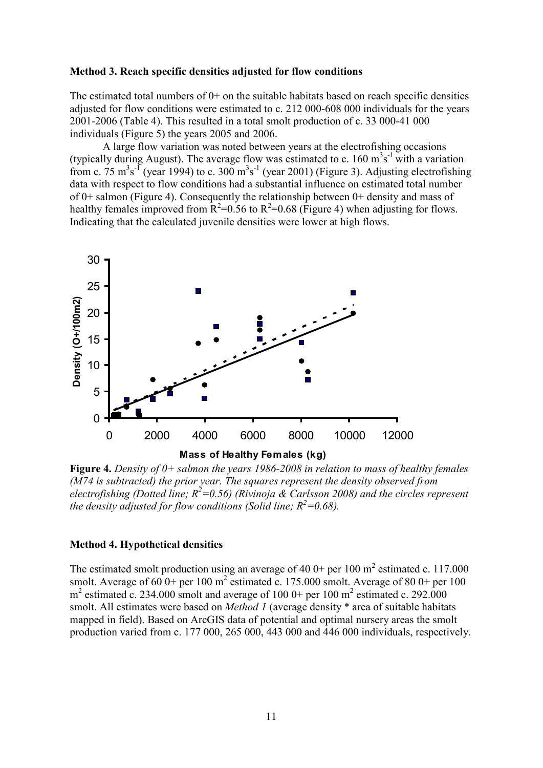#### **Method 3. Reach specific densities adjusted for flow conditions**

The estimated total numbers of  $0+$  on the suitable habitats based on reach specific densities adjusted for flow conditions were estimated to c. 212 000-608 000 individuals for the years 2001-2006 (Table 4). This resulted in a total smolt production of c. 33 000-41 000 individuals (Figure 5) the years 2005 and 2006.

A large flow variation was noted between years at the electrofishing occasions (typically during August). The average flow was estimated to c.  $160 \text{ m}^3\text{s}^{-1}$  with a variation from c. 75  $\text{m}^3\text{s}^{-1}$  (year 1994) to c. 300  $\text{m}^3\text{s}^{-1}$  (year 2001) (Figure 3). Adjusting electrofishing data with respect to flow conditions had a substantial influence on estimated total number of 0+ salmon (Figure 4). Consequently the relationship between 0+ density and mass of healthy females improved from  $R^2$ =0.56 to  $R^2$ =0.68 (Figure 4) when adjusting for flows. Indicating that the calculated juvenile densities were lower at high flows.



**Figure 4.** *Density of 0+ salmon the years 1986-2008 in relation to mass of healthy females (M74 is subtracted) the prior year. The squares represent the density observed from electrofishing (Dotted line;*  $R^2$ *=0.56) (Rivinoja & Carlsson 2008) and the circles represent the density adjusted for flow conditions (Solid line;*  $R^2$ *=0.68).* 

#### **Method 4. Hypothetical densities**

The estimated smolt production using an average of 40 0+ per 100  $m^2$  estimated c. 117.000 smolt. Average of 60 0+ per 100  $m^2$  estimated c. 175.000 smolt. Average of 80 0+ per 100  $m<sup>2</sup>$  estimated c. 234.000 smolt and average of 100 0+ per 100  $m<sup>2</sup>$  estimated c. 292.000 smolt. All estimates were based on *Method 1* (average density \* area of suitable habitats mapped in field). Based on ArcGIS data of potential and optimal nursery areas the smolt production varied from c. 177 000, 265 000, 443 000 and 446 000 individuals, respectively.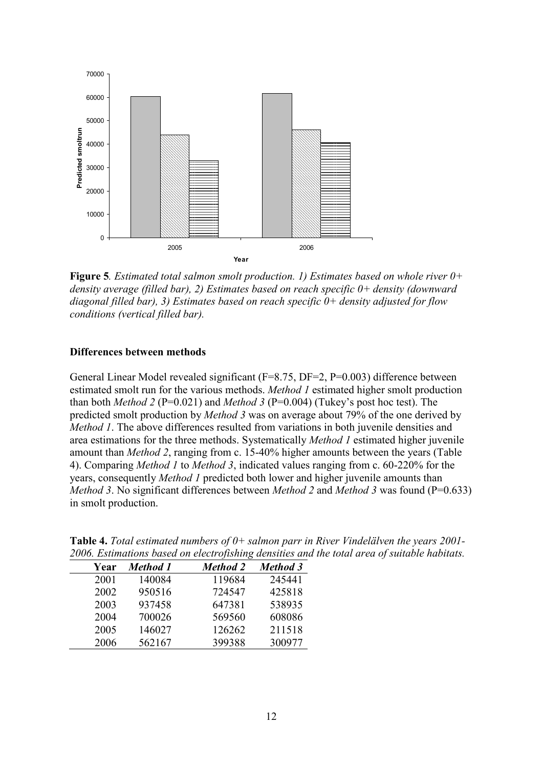

**Figure 5***. Estimated total salmon smolt production. 1) Estimates based on whole river 0+ density average (filled bar), 2) Estimates based on reach specific 0+ density (downward diagonal filled bar), 3) Estimates based on reach specific 0+ density adjusted for flow conditions (vertical filled bar).* 

#### **Differences between methods**

General Linear Model revealed significant (F=8.75, DF=2, P=0.003) difference between estimated smolt run for the various methods. *Method 1* estimated higher smolt production than both *Method 2* (P=0.021) and *Method 3* (P=0.004) (Tukey's post hoc test). The predicted smolt production by *Method 3* was on average about 79% of the one derived by *Method 1*. The above differences resulted from variations in both juvenile densities and area estimations for the three methods. Systematically *Method 1* estimated higher juvenile amount than *Method 2*, ranging from c. 15-40% higher amounts between the years (Table 4). Comparing *Method 1* to *Method 3*, indicated values ranging from c. 60-220% for the years, consequently *Method 1* predicted both lower and higher juvenile amounts than *Method 3.* No significant differences between *Method 2* and *Method 3* was found (P=0.633) in smolt production.

|      |                 | $\cdot$ $\cdot$ |                 |
|------|-----------------|-----------------|-----------------|
| Year | <b>Method</b> 1 | <b>Method 2</b> | <b>Method 3</b> |
| 2001 | 140084          | 119684          | 245441          |
| 2002 | 950516          | 724547          | 425818          |
| 2003 | 937458          | 647381          | 538935          |
| 2004 | 700026          | 569560          | 608086          |
| 2005 | 146027          | 126262          | 211518          |
| 2006 | 562167          | 399388          | 300977          |

**Table 4.** *Total estimated numbers of 0+ salmon parr in River Vindelälven the years 2001- 2006. Estimations based on electrofishing densities and the total area of suitable habitats.*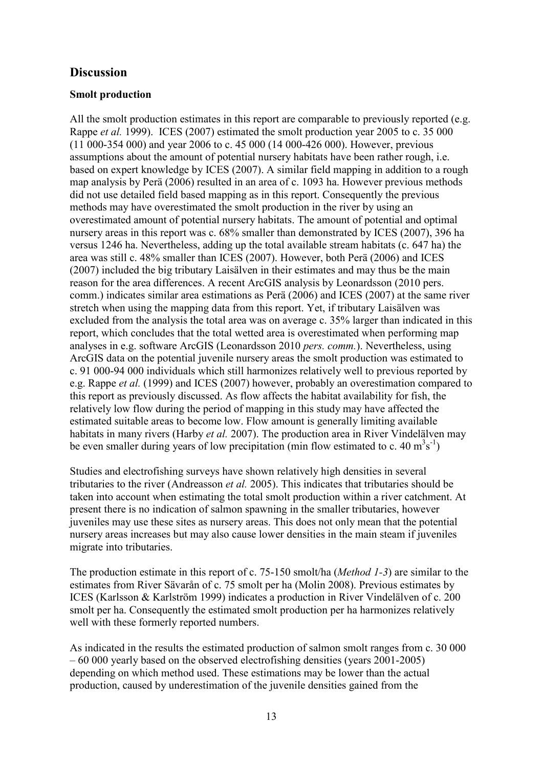# **Discussion**

#### **Smolt production**

All the smolt production estimates in this report are comparable to previously reported (e.g. Rappe *et al.* 1999). ICES (2007) estimated the smolt production year 2005 to c. 35 000 (11 000-354 000) and year 2006 to c. 45 000 (14 000-426 000). However, previous assumptions about the amount of potential nursery habitats have been rather rough, i.e. based on expert knowledge by ICES (2007). A similar field mapping in addition to a rough map analysis by Perä (2006) resulted in an area of c. 1093 ha. However previous methods did not use detailed field based mapping as in this report. Consequently the previous methods may have overestimated the smolt production in the river by using an overestimated amount of potential nursery habitats. The amount of potential and optimal nursery areas in this report was c. 68% smaller than demonstrated by ICES (2007), 396 ha versus 1246 ha. Nevertheless, adding up the total available stream habitats (c. 647 ha) the area was still c. 48% smaller than ICES (2007). However, both Perä (2006) and ICES (2007) included the big tributary Laisälven in their estimates and may thus be the main reason for the area differences. A recent ArcGIS analysis by Leonardsson (2010 pers. comm.) indicates similar area estimations as Perä (2006) and ICES (2007) at the same river stretch when using the mapping data from this report. Yet, if tributary Laisälven was excluded from the analysis the total area was on average c. 35% larger than indicated in this report, which concludes that the total wetted area is overestimated when performing map analyses in e.g. software ArcGIS (Leonardsson 2010 *pers. comm.*). Nevertheless, using ArcGIS data on the potential juvenile nursery areas the smolt production was estimated to c. 91 000-94 000 individuals which still harmonizes relatively well to previous reported by e.g. Rappe *et al.* (1999) and ICES (2007) however, probably an overestimation compared to this report as previously discussed. As flow affects the habitat availability for fish, the relatively low flow during the period of mapping in this study may have affected the estimated suitable areas to become low. Flow amount is generally limiting available habitats in many rivers (Harby *et al.* 2007). The production area in River Vindelälven may be even smaller during years of low precipitation (min flow estimated to c. 40  $m^3s^{-1}$ )

Studies and electrofishing surveys have shown relatively high densities in several tributaries to the river (Andreasson *et al.* 2005). This indicates that tributaries should be taken into account when estimating the total smolt production within a river catchment. At present there is no indication of salmon spawning in the smaller tributaries, however juveniles may use these sites as nursery areas. This does not only mean that the potential nursery areas increases but may also cause lower densities in the main steam if juveniles migrate into tributaries.

The production estimate in this report of c. 75-150 smolt/ha (*Method 1-3*) are similar to the estimates from River Sävarån of c. 75 smolt per ha (Molin 2008). Previous estimates by ICES (Karlsson & Karlström 1999) indicates a production in River Vindelälven of c. 200 smolt per ha. Consequently the estimated smolt production per ha harmonizes relatively well with these formerly reported numbers.

As indicated in the results the estimated production of salmon smolt ranges from c. 30 000 – 60 000 yearly based on the observed electrofishing densities (years 2001-2005) depending on which method used. These estimations may be lower than the actual production, caused by underestimation of the juvenile densities gained from the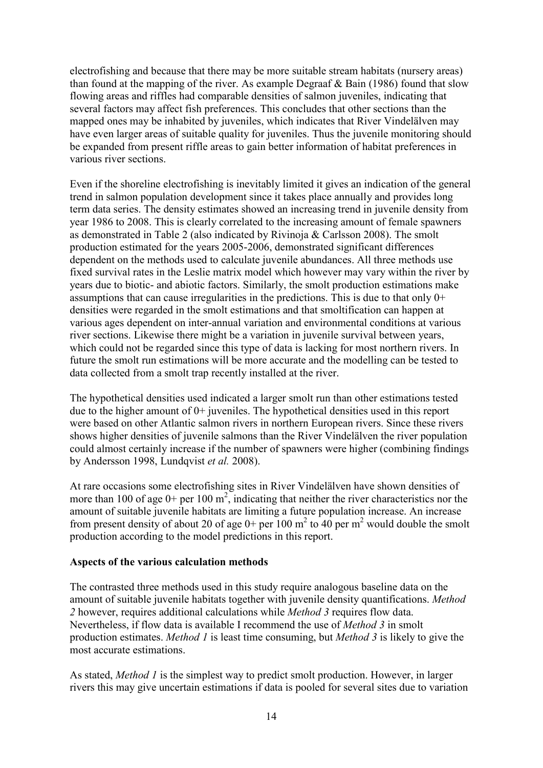electrofishing and because that there may be more suitable stream habitats (nursery areas) than found at the mapping of the river. As example Degraaf & Bain (1986) found that slow flowing areas and riffles had comparable densities of salmon juveniles, indicating that several factors may affect fish preferences. This concludes that other sections than the mapped ones may be inhabited by juveniles, which indicates that River Vindelälven may have even larger areas of suitable quality for juveniles. Thus the juvenile monitoring should be expanded from present riffle areas to gain better information of habitat preferences in various river sections.

Even if the shoreline electrofishing is inevitably limited it gives an indication of the general trend in salmon population development since it takes place annually and provides long term data series. The density estimates showed an increasing trend in juvenile density from year 1986 to 2008. This is clearly correlated to the increasing amount of female spawners as demonstrated in Table 2 (also indicated by Rivinoja & Carlsson 2008). The smolt production estimated for the years 2005-2006, demonstrated significant differences dependent on the methods used to calculate juvenile abundances. All three methods use fixed survival rates in the Leslie matrix model which however may vary within the river by years due to biotic- and abiotic factors. Similarly, the smolt production estimations make assumptions that can cause irregularities in the predictions. This is due to that only 0+ densities were regarded in the smolt estimations and that smoltification can happen at various ages dependent on inter-annual variation and environmental conditions at various river sections. Likewise there might be a variation in juvenile survival between years, which could not be regarded since this type of data is lacking for most northern rivers. In future the smolt run estimations will be more accurate and the modelling can be tested to data collected from a smolt trap recently installed at the river.

The hypothetical densities used indicated a larger smolt run than other estimations tested due to the higher amount of 0+ juveniles. The hypothetical densities used in this report were based on other Atlantic salmon rivers in northern European rivers. Since these rivers shows higher densities of juvenile salmons than the River Vindelälven the river population could almost certainly increase if the number of spawners were higher (combining findings by Andersson 1998, Lundqvist *et al.* 2008).

At rare occasions some electrofishing sites in River Vindelälven have shown densities of more than 100 of age  $0+$  per 100 m<sup>2</sup>, indicating that neither the river characteristics nor the amount of suitable juvenile habitats are limiting a future population increase. An increase from present density of about 20 of age  $0+$  per 100 m<sup>2</sup> to 40 per m<sup>2</sup> would double the smolt production according to the model predictions in this report.

#### **Aspects of the various calculation methods**

The contrasted three methods used in this study require analogous baseline data on the amount of suitable juvenile habitats together with juvenile density quantifications. *Method 2* however, requires additional calculations while *Method 3* requires flow data. Nevertheless, if flow data is available I recommend the use of *Method 3* in smolt production estimates. *Method 1* is least time consuming, but *Method 3* is likely to give the most accurate estimations.

As stated, *Method 1* is the simplest way to predict smolt production. However, in larger rivers this may give uncertain estimations if data is pooled for several sites due to variation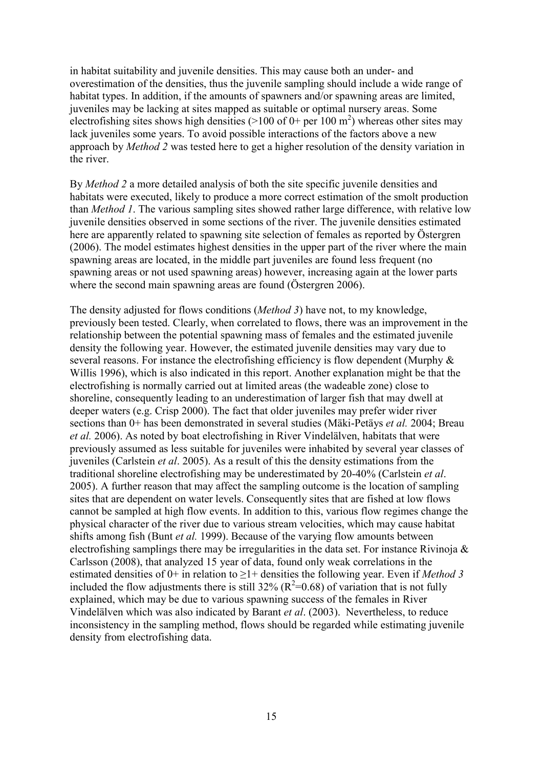in habitat suitability and juvenile densities. This may cause both an under- and overestimation of the densities, thus the juvenile sampling should include a wide range of habitat types. In addition, if the amounts of spawners and/or spawning areas are limited, juveniles may be lacking at sites mapped as suitable or optimal nursery areas. Some electrofishing sites shows high densities ( $>100$  of 0+ per 100 m<sup>2</sup>) whereas other sites may lack juveniles some years. To avoid possible interactions of the factors above a new approach by *Method 2* was tested here to get a higher resolution of the density variation in the river.

By *Method 2* a more detailed analysis of both the site specific juvenile densities and habitats were executed, likely to produce a more correct estimation of the smolt production than *Method 1*. The various sampling sites showed rather large difference, with relative low juvenile densities observed in some sections of the river. The juvenile densities estimated here are apparently related to spawning site selection of females as reported by Östergren (2006). The model estimates highest densities in the upper part of the river where the main spawning areas are located, in the middle part juveniles are found less frequent (no spawning areas or not used spawning areas) however, increasing again at the lower parts where the second main spawning areas are found (Östergren 2006).

The density adjusted for flows conditions (*Method 3*) have not, to my knowledge, previously been tested. Clearly, when correlated to flows, there was an improvement in the relationship between the potential spawning mass of females and the estimated juvenile density the following year. However, the estimated juvenile densities may vary due to several reasons. For instance the electrofishing efficiency is flow dependent (Murphy  $\&$ Willis 1996), which is also indicated in this report. Another explanation might be that the electrofishing is normally carried out at limited areas (the wadeable zone) close to shoreline, consequently leading to an underestimation of larger fish that may dwell at deeper waters (e.g. Crisp 2000). The fact that older juveniles may prefer wider river sections than 0+ has been demonstrated in several studies (Mäki-Petäys *et al.* 2004; Breau *et al.* 2006). As noted by boat electrofishing in River Vindelälven, habitats that were previously assumed as less suitable for juveniles were inhabited by several year classes of juveniles (Carlstein *et al*. 2005). As a result of this the density estimations from the traditional shoreline electrofishing may be underestimated by 20-40% (Carlstein *et al*. 2005). A further reason that may affect the sampling outcome is the location of sampling sites that are dependent on water levels. Consequently sites that are fished at low flows cannot be sampled at high flow events. In addition to this, various flow regimes change the physical character of the river due to various stream velocities, which may cause habitat shifts among fish (Bunt *et al.* 1999). Because of the varying flow amounts between electrofishing samplings there may be irregularities in the data set. For instance Rivinoja & Carlsson (2008), that analyzed 15 year of data, found only weak correlations in the estimated densities of  $0+$  in relation to  $\geq 1+$  densities the following year. Even if *Method* 3 included the flow adjustments there is still 32% ( $R^2$ =0.68) of variation that is not fully explained, which may be due to various spawning success of the females in River Vindelälven which was also indicated by Barant *et al*. (2003). Nevertheless, to reduce inconsistency in the sampling method, flows should be regarded while estimating juvenile density from electrofishing data.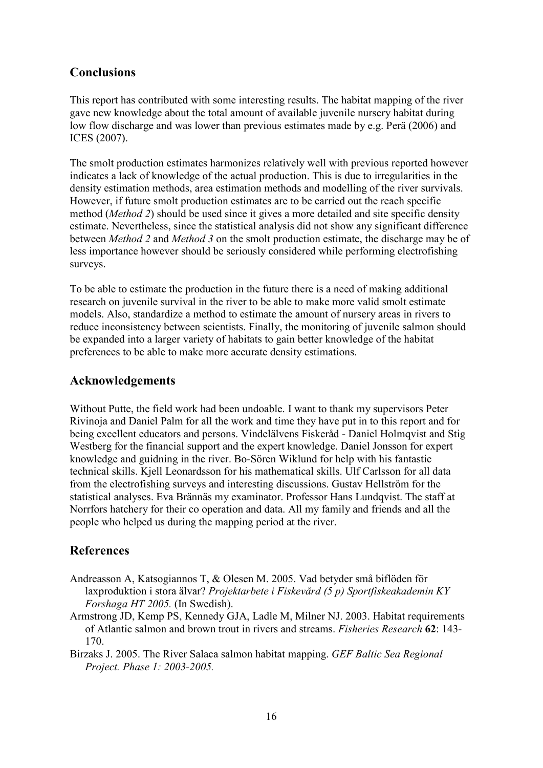# **Conclusions**

This report has contributed with some interesting results. The habitat mapping of the river gave new knowledge about the total amount of available juvenile nursery habitat during low flow discharge and was lower than previous estimates made by e.g. Perä (2006) and ICES (2007).

The smolt production estimates harmonizes relatively well with previous reported however indicates a lack of knowledge of the actual production. This is due to irregularities in the density estimation methods, area estimation methods and modelling of the river survivals. However, if future smolt production estimates are to be carried out the reach specific method (*Method 2*) should be used since it gives a more detailed and site specific density estimate. Nevertheless, since the statistical analysis did not show any significant difference between *Method 2* and *Method 3* on the smolt production estimate, the discharge may be of less importance however should be seriously considered while performing electrofishing surveys.

To be able to estimate the production in the future there is a need of making additional research on juvenile survival in the river to be able to make more valid smolt estimate models. Also, standardize a method to estimate the amount of nursery areas in rivers to reduce inconsistency between scientists. Finally, the monitoring of juvenile salmon should be expanded into a larger variety of habitats to gain better knowledge of the habitat preferences to be able to make more accurate density estimations.

# **Acknowledgements**

Without Putte, the field work had been undoable. I want to thank my supervisors Peter Rivinoja and Daniel Palm for all the work and time they have put in to this report and for being excellent educators and persons. Vindelälvens Fiskeråd - Daniel Holmqvist and Stig Westberg for the financial support and the expert knowledge. Daniel Jonsson for expert knowledge and guidning in the river. Bo-Sören Wiklund for help with his fantastic technical skills. Kjell Leonardsson for his mathematical skills. Ulf Carlsson for all data from the electrofishing surveys and interesting discussions. Gustav Hellström for the statistical analyses. Eva Brännäs my examinator. Professor Hans Lundqvist. The staff at Norrfors hatchery for their co operation and data. All my family and friends and all the people who helped us during the mapping period at the river.

# **References**

- Andreasson A, Katsogiannos T, & Olesen M. 2005. Vad betyder små biflöden för laxproduktion i stora älvar? *Projektarbete i Fiskevård (5 p) Sportfiskeakademin KY Forshaga HT 2005.* (In Swedish).
- Armstrong JD, Kemp PS, Kennedy GJA, Ladle M, Milner NJ. 2003. Habitat requirements of Atlantic salmon and brown trout in rivers and streams. *Fisheries Research* **62**: 143- 170.

Birzaks J. 2005. The River Salaca salmon habitat mapping. *GEF Baltic Sea Regional Project. Phase 1: 2003-2005.*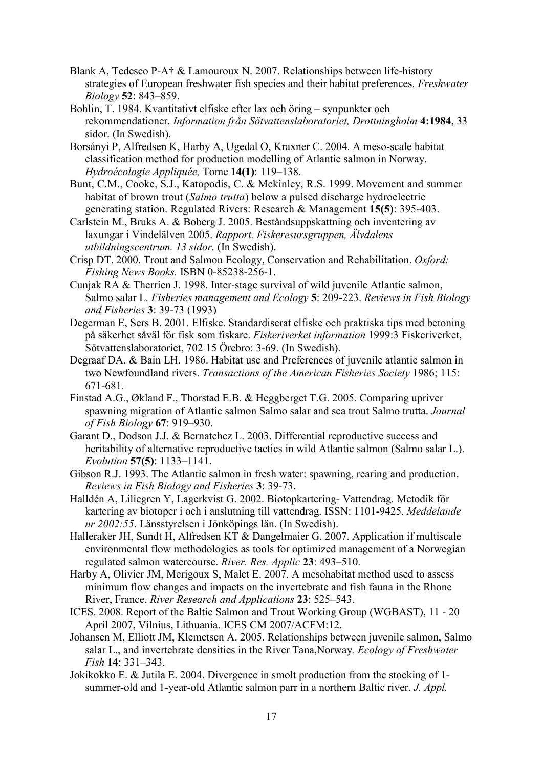- Blank A, Tedesco P-A† & Lamouroux N. 2007. Relationships between life-history strategies of European freshwater fish species and their habitat preferences. *Freshwater Biology* **52**: 843–859.
- Bohlin, T. 1984. Kvantitativt elfiske efter lax och öring synpunkter och rekommendationer. *Information från Sötvattenslaboratoriet, Drottningholm* **4:1984**, 33 sidor. (In Swedish).
- Borsányi P, Alfredsen K, Harby A, Ugedal O, Kraxner C. 2004. A meso-scale habitat classification method for production modelling of Atlantic salmon in Norway. *Hydroécologie Appliquée,* Tome **14(1)**: 119–138.
- Bunt, C.M., Cooke, S.J., Katopodis, C. & Mckinley, R.S. 1999. Movement and summer habitat of brown trout (*Salmo trutta*) below a pulsed discharge hydroelectric generating station. Regulated Rivers: Research & Management **15(5)**: 395-403.
- Carlstein M., Bruks A. & Boberg J. 2005. Beståndsuppskattning och inventering av laxungar i Vindelälven 2005. *Rapport. Fiskeresursgruppen, Älvdalens utbildningscentrum. 13 sidor.* (In Swedish).
- Crisp DT. 2000. Trout and Salmon Ecology, Conservation and Rehabilitation. *Oxford: Fishing News Books.* ISBN 0-85238-256-1.
- Cunjak RA & Therrien J. 1998. Inter-stage survival of wild juvenile Atlantic salmon, Salmo salar L. *Fisheries management and Ecology* **5**: 209-223. *Reviews in Fish Biology and Fisheries* **3**: 39-73 (1993)
- Degerman E, Sers B. 2001. Elfiske. Standardiserat elfiske och praktiska tips med betoning på säkerhet såväl för fisk som fiskare. *Fiskeriverket information* 1999:3 Fiskeriverket, Sötvattenslaboratoriet, 702 15 Örebro: 3-69. (In Swedish).
- Degraaf DA. & Bain LH. 1986. Habitat use and Preferences of juvenile atlantic salmon in two Newfoundland rivers. *Transactions of the American Fisheries Society* 1986; 115: 671-681.
- Finstad A.G., Økland F., Thorstad E.B. & Heggberget T.G. 2005. Comparing upriver spawning migration of Atlantic salmon Salmo salar and sea trout Salmo trutta. *Journal of Fish Biology* **67**: 919–930.
- Garant D., Dodson J.J. & Bernatchez L. 2003. Differential reproductive success and heritability of alternative reproductive tactics in wild Atlantic salmon (Salmo salar L.). *Evolution* **57(5)**: 1133–1141.
- Gibson R.J. 1993. The Atlantic salmon in fresh water: spawning, rearing and production. *Reviews in Fish Biology and Fisheries* **3**: 39-73.
- Halldén A, Liliegren Y, Lagerkvist G. 2002. Biotopkartering- Vattendrag. Metodik för kartering av biotoper i och i anslutning till vattendrag. ISSN: 1101-9425. *Meddelande nr 2002:55*. Länsstyrelsen i Jönköpings län. (In Swedish).
- Halleraker JH, Sundt H, Alfredsen KT & Dangelmaier G. 2007. Application if multiscale environmental flow methodologies as tools for optimized management of a Norwegian regulated salmon watercourse. *River. Res. Applic* **23**: 493–510.
- Harby A, Olivier JM, Merigoux S, Malet E. 2007. A mesohabitat method used to assess minimum flow changes and impacts on the invertebrate and fish fauna in the Rhone River, France. *River Research and Applications* **23**: 525–543.
- ICES. 2008. Report of the Baltic Salmon and Trout Working Group (WGBAST), 11 20 April 2007, Vilnius, Lithuania. ICES CM 2007/ACFM:12.
- Johansen M, Elliott JM, Klemetsen A. 2005. Relationships between juvenile salmon, Salmo salar L., and invertebrate densities in the River Tana,Norway*. Ecology of Freshwater Fish* **14**: 331–343.
- Jokikokko E. & Jutila E. 2004. Divergence in smolt production from the stocking of 1 summer-old and 1-year-old Atlantic salmon parr in a northern Baltic river. *J. Appl.*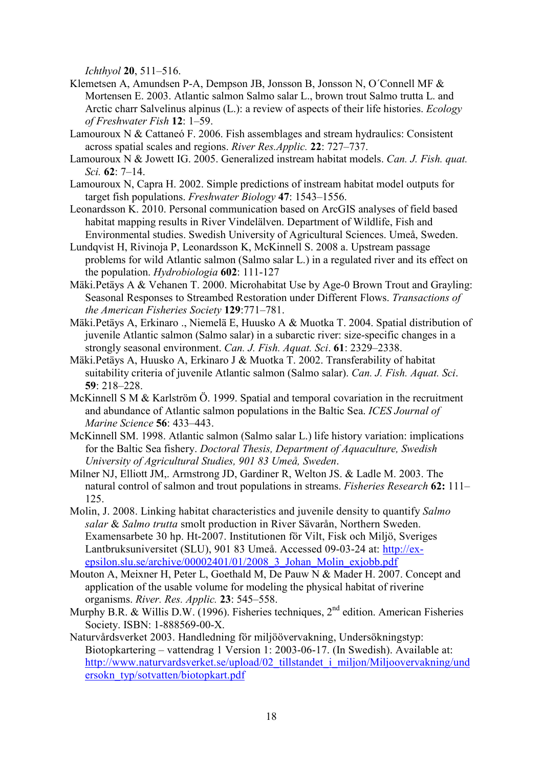*Ichthyol* **20**, 511–516.

- Klemetsen A, Amundsen P-A, Dempson JB, Jonsson B, Jonsson N, O´Connell MF & Mortensen E. 2003. Atlantic salmon Salmo salar L., brown trout Salmo trutta L. and Arctic charr Salvelinus alpinus (L.): a review of aspects of their life histories. *Ecology of Freshwater Fish* **12**: 1–59.
- Lamouroux N & Cattaneó F. 2006. Fish assemblages and stream hydraulics: Consistent across spatial scales and regions. *River Res.Applic.* **22**: 727–737.
- Lamouroux N & Jowett IG. 2005. Generalized instream habitat models. *Can. J. Fish. quat. Sci.* **62**: 7–14.
- Lamouroux N, Capra H. 2002. Simple predictions of instream habitat model outputs for target fish populations. *Freshwater Biology* **47**: 1543–1556.
- Leonardsson K. 2010. Personal communication based on ArcGIS analyses of field based habitat mapping results in River Vindelälven. Department of Wildlife, Fish and Environmental studies. Swedish University of Agricultural Sciences. Umeå, Sweden.
- Lundqvist H, Rivinoja P, Leonardsson K, McKinnell S. 2008 a. Upstream passage problems for wild Atlantic salmon (Salmo salar L.) in a regulated river and its effect on the population. *Hydrobiologia* **602**: 111-127
- Mäki.Petäys A & Vehanen T. 2000. Microhabitat Use by Age-0 Brown Trout and Grayling: Seasonal Responses to Streambed Restoration under Different Flows. *Transactions of the American Fisheries Society* **129**:771–781.
- Mäki.Petäys A, Erkinaro ., Niemelä E, Huusko A & Muotka T. 2004. Spatial distribution of juvenile Atlantic salmon (Salmo salar) in a subarctic river: size-specific changes in a strongly seasonal environment. *Can. J. Fish. Aquat. Sci*. **61**: 2329–2338.
- Mäki.Petäys A, Huusko A, Erkinaro J & Muotka T. 2002. Transferability of habitat suitability criteria of juvenile Atlantic salmon (Salmo salar). *Can. J. Fish. Aquat. Sci*. **59**: 218–228.
- McKinnell S M & Karlström Ö. 1999. Spatial and temporal covariation in the recruitment and abundance of Atlantic salmon populations in the Baltic Sea. *ICES Journal of Marine Science* **56**: 433–443.
- McKinnell SM. 1998. Atlantic salmon (Salmo salar L.) life history variation: implications for the Baltic Sea fishery. *Doctoral Thesis, Department of Aquaculture, Swedish University of Agricultural Studies, 901 83 Umeå, Sweden*.
- Milner NJ, Elliott JM,. Armstrong JD, Gardiner R, Welton JS. & Ladle M. 2003. The natural control of salmon and trout populations in streams. *Fisheries Research* **62:** 111– 125.
- Molin, J. 2008. Linking habitat characteristics and juvenile density to quantify *Salmo salar* & *Salmo trutta* smolt production in River Sävarån, Northern Sweden. Examensarbete 30 hp. Ht-2007. Institutionen för Vilt, Fisk och Miljö, Sveriges Lantbruksuniversitet (SLU), 901 83 Umeå. Accessed 09-03-24 at: [http://ex](http://ex-epsilon.slu.se/archive/00002401/01/2008_3_Johan_Molin_exjobb.pdf)[epsilon.slu.se/archive/00002401/01/2008\\_3\\_Johan\\_Molin\\_exjobb.pdf](http://ex-epsilon.slu.se/archive/00002401/01/2008_3_Johan_Molin_exjobb.pdf)
- Mouton A, Meixner H, Peter L, Goethald M, De Pauw N & Mader H. 2007. Concept and application of the usable volume for modeling the physical habitat of riverine organisms. *River. Res. Applic.* **23**: 545–558.
- Murphy B.R. & Willis D.W. (1996). Fisheries techniques, 2<sup>nd</sup> edition. American Fisheries Society. ISBN: 1-888569-00-X.
- Naturvårdsverket 2003. Handledning för miljöövervakning, Undersökningstyp: Biotopkartering – vattendrag 1 Version 1: 2003-06-17. (In Swedish). Available at: [http://www.naturvardsverket.se/upload/02\\_tillstandet\\_i\\_miljon/Miljoovervakning/und](http://www.naturvardsverket.se/upload/02_tillstandet_i_miljon/Miljoovervakning/undersokn_typ/sotvatten/biotopkart.pdf) [ersokn\\_typ/sotvatten/biotopkart.pdf](http://www.naturvardsverket.se/upload/02_tillstandet_i_miljon/Miljoovervakning/undersokn_typ/sotvatten/biotopkart.pdf)